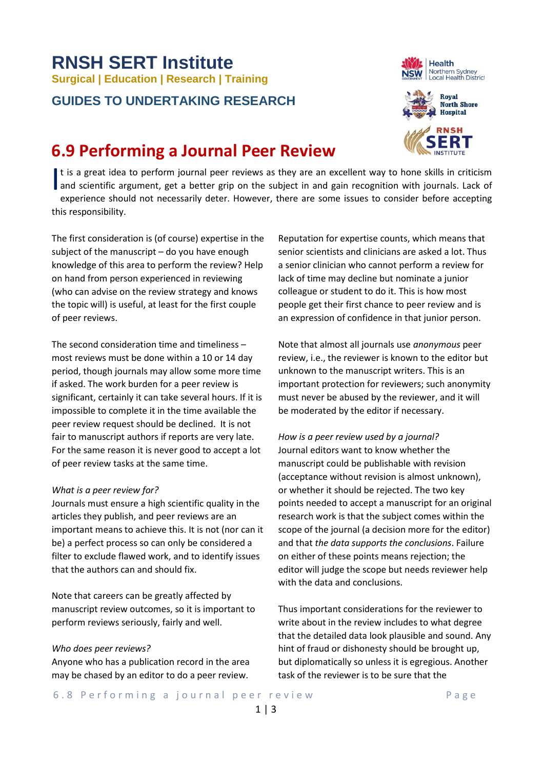#### 6.8 Performing a journal peer review Tage

# **RNSH SERT Institute Surgical | Education | Research | Training**

### **GUIDES TO UNDERTAKING RESEARCH**

## **6.9 Performing a Journal Peer Review**

It is a great idea to perform journal peer reviews as they are an excellent way to hone skills in criticism It is a great idea to perform journal peer reviews as they are an excellent way to hone skills in criticism<br>and scientific argument, get a better grip on the subject in and gain recognition with journals. Lack of experience should not necessarily deter. However, there are some issues to consider before accepting this responsibility.

The first consideration is (of course) expertise in the subject of the manuscript – do you have enough knowledge of this area to perform the review? Help on hand from person experienced in reviewing (who can advise on the review strategy and knows the topic will) is useful, at least for the first couple of peer reviews.

The second consideration time and timeliness – most reviews must be done within a 10 or 14 day period, though journals may allow some more time if asked. The work burden for a peer review is significant, certainly it can take several hours. If it is impossible to complete it in the time available the peer review request should be declined. It is not fair to manuscript authors if reports are very late. For the same reason it is never good to accept a lot of peer review tasks at the same time.

#### *What is a peer review for?*

Journals must ensure a high scientific quality in the articles they publish, and peer reviews are an important means to achieve this. It is not (nor can it be) a perfect process so can only be considered a filter to exclude flawed work, and to identify issues that the authors can and should fix.

Note that careers can be greatly affected by manuscript review outcomes, so it is important to perform reviews seriously, fairly and well.

#### *Who does peer reviews?*

Anyone who has a publication record in the area may be chased by an editor to do a peer review.

Reputation for expertise counts, which means that senior scientists and clinicians are asked a lot. Thus a senior clinician who cannot perform a review for lack of time may decline but nominate a junior colleague or student to do it. This is how most people get their first chance to peer review and is an expression of confidence in that junior person.

Note that almost all journals use *anonymous* peer review, i.e., the reviewer is known to the editor but unknown to the manuscript writers. This is an important protection for reviewers; such anonymity must never be abused by the reviewer, and it will be moderated by the editor if necessary.

*How is a peer review used by a journal?* Journal editors want to know whether the manuscript could be publishable with revision (acceptance without revision is almost unknown), or whether it should be rejected. The two key points needed to accept a manuscript for an original research work is that the subject comes within the scope of the journal (a decision more for the editor) and that *the data supports the conclusions*. Failure on either of these points means rejection; the editor will judge the scope but needs reviewer help with the data and conclusions.

Thus important considerations for the reviewer to write about in the review includes to what degree that the detailed data look plausible and sound. Any hint of fraud or dishonesty should be brought up, but diplomatically so unless it is egregious. Another task of the reviewer is to be sure that the



Health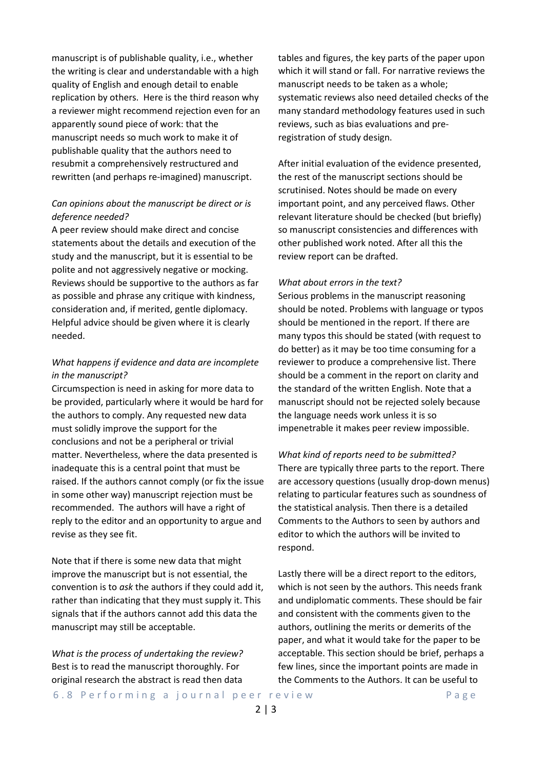manuscript is of publishable quality, i.e., whether the writing is clear and understandable with a high quality of English and enough detail to enable replication by others. Here is the third reason why a reviewer might recommend rejection even for an apparently sound piece of work: that the manuscript needs so much work to make it of publishable quality that the authors need to resubmit a comprehensively restructured and rewritten (and perhaps re-imagined) manuscript.

#### *Can opinions about the manuscript be direct or is deference needed?*

A peer review should make direct and concise statements about the details and execution of the study and the manuscript, but it is essential to be polite and not aggressively negative or mocking. Reviews should be supportive to the authors as far as possible and phrase any critique with kindness, consideration and, if merited, gentle diplomacy. Helpful advice should be given where it is clearly needed.

#### *What happens if evidence and data are incomplete in the manuscript?*

Circumspection is need in asking for more data to be provided, particularly where it would be hard for the authors to comply. Any requested new data must solidly improve the support for the conclusions and not be a peripheral or trivial matter. Nevertheless, where the data presented is inadequate this is a central point that must be raised. If the authors cannot comply (or fix the issue in some other way) manuscript rejection must be recommended. The authors will have a right of reply to the editor and an opportunity to argue and revise as they see fit.

Note that if there is some new data that might improve the manuscript but is not essential, the convention is to *ask* the authors if they could add it, rather than indicating that they must supply it. This signals that if the authors cannot add this data the manuscript may still be acceptable.

*What is the process of undertaking the review?* Best is to read the manuscript thoroughly. For original research the abstract is read then data tables and figures, the key parts of the paper upon which it will stand or fall. For narrative reviews the manuscript needs to be taken as a whole; systematic reviews also need detailed checks of the many standard methodology features used in such reviews, such as bias evaluations and preregistration of study design.

After initial evaluation of the evidence presented, the rest of the manuscript sections should be scrutinised. Notes should be made on every important point, and any perceived flaws. Other relevant literature should be checked (but briefly) so manuscript consistencies and differences with other published work noted. After all this the review report can be drafted.

#### *What about errors in the text?*

Serious problems in the manuscript reasoning should be noted. Problems with language or typos should be mentioned in the report. If there are many typos this should be stated (with request to do better) as it may be too time consuming for a reviewer to produce a comprehensive list. There should be a comment in the report on clarity and the standard of the written English. Note that a manuscript should not be rejected solely because the language needs work unless it is so impenetrable it makes peer review impossible.

*What kind of reports need to be submitted?* There are typically three parts to the report. There are accessory questions (usually drop-down menus) relating to particular features such as soundness of the statistical analysis. Then there is a detailed Comments to the Authors to seen by authors and editor to which the authors will be invited to respond.

Lastly there will be a direct report to the editors, which is not seen by the authors. This needs frank and undiplomatic comments. These should be fair and consistent with the comments given to the authors, outlining the merits or demerits of the paper, and what it would take for the paper to be acceptable. This section should be brief, perhaps a few lines, since the important points are made in the Comments to the Authors. It can be useful to

6.8 Performing a journal peer review Tage